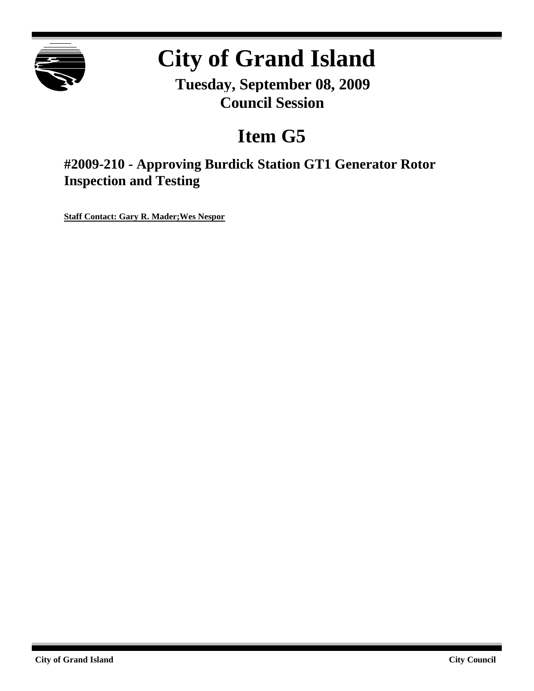

# **City of Grand Island**

**Tuesday, September 08, 2009 Council Session**

## **Item G5**

**#2009-210 - Approving Burdick Station GT1 Generator Rotor Inspection and Testing**

**Staff Contact: Gary R. Mader;Wes Nespor**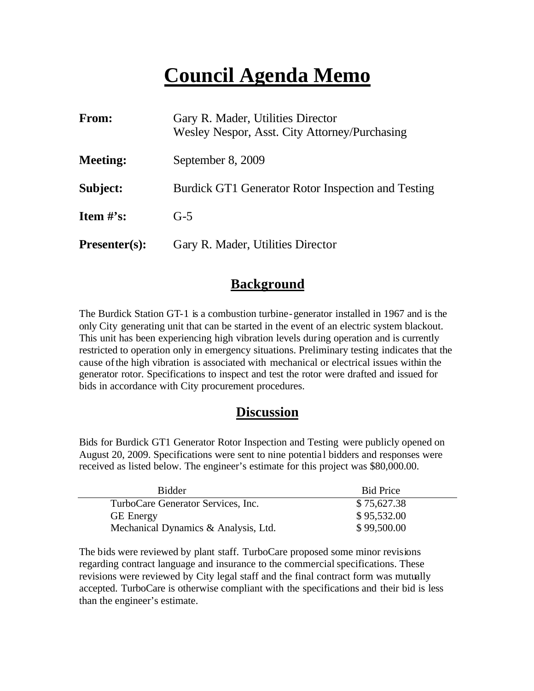## **Council Agenda Memo**

| <b>From:</b>         | Gary R. Mader, Utilities Director<br>Wesley Nespor, Asst. City Attorney/Purchasing |
|----------------------|------------------------------------------------------------------------------------|
| <b>Meeting:</b>      | September 8, 2009                                                                  |
| Subject:             | Burdick GT1 Generator Rotor Inspection and Testing                                 |
| Item $\#$ 's:        | $G-5$                                                                              |
| <b>Presenter(s):</b> | Gary R. Mader, Utilities Director                                                  |

### **Background**

The Burdick Station GT-1 is a combustion turbine-generator installed in 1967 and is the only City generating unit that can be started in the event of an electric system blackout. This unit has been experiencing high vibration levels during operation and is currently restricted to operation only in emergency situations. Preliminary testing indicates that the cause ofthe high vibration is associated with mechanical or electrical issues within the generator rotor. Specifications to inspect and test the rotor were drafted and issued for bids in accordance with City procurement procedures.

### **Discussion**

Bids for Burdick GT1 Generator Rotor Inspection and Testing were publicly opened on August 20, 2009. Specifications were sent to nine potentia l bidders and responses were received as listed below. The engineer's estimate for this project was \$80,000.00.

| <b>Bidder</b>                        | <b>Bid Price</b> |
|--------------------------------------|------------------|
| TurboCare Generator Services, Inc.   | \$75,627.38      |
| <b>GE</b> Energy                     | \$95,532.00      |
| Mechanical Dynamics & Analysis, Ltd. | \$99,500.00      |

The bids were reviewed by plant staff. TurboCare proposed some minor revisions regarding contract language and insurance to the commercial specifications. These revisions were reviewed by City legal staff and the final contract form was mutually accepted. TurboCare is otherwise compliant with the specifications and their bid is less than the engineer's estimate.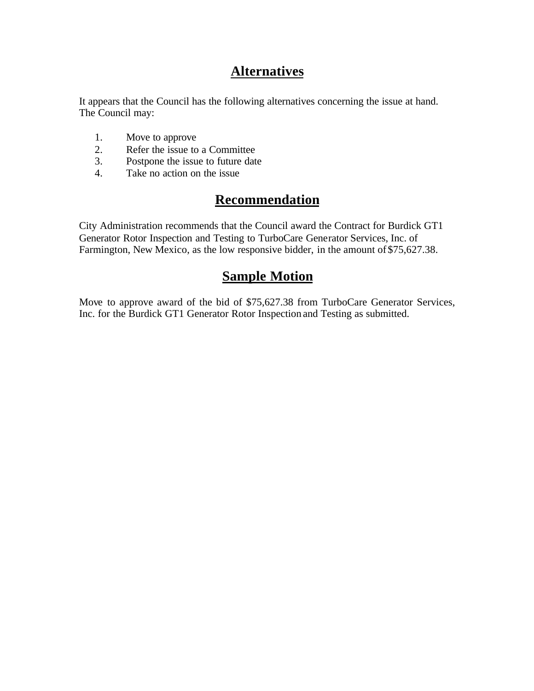## **Alternatives**

It appears that the Council has the following alternatives concerning the issue at hand. The Council may:

- 1. Move to approve
- 2. Refer the issue to a Committee<br>3. Postpone the issue to future date
- Postpone the issue to future date
- 4. Take no action on the issue

## **Recommendation**

City Administration recommends that the Council award the Contract for Burdick GT1 Generator Rotor Inspection and Testing to TurboCare Generator Services, Inc. of Farmington, New Mexico, as the low responsive bidder, in the amount of \$75,627.38.

#### **Sample Motion**

Move to approve award of the bid of \$75,627.38 from TurboCare Generator Services, Inc. for the Burdick GT1 Generator Rotor Inspection and Testing as submitted.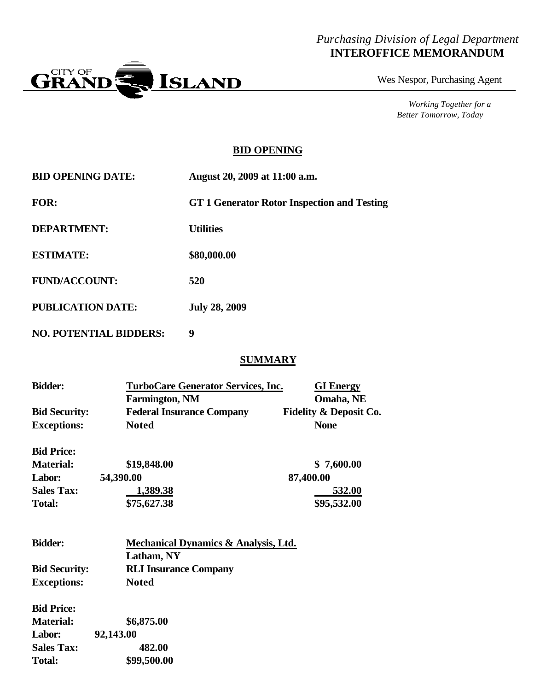#### *Purchasing Division of Legal Department* **INTEROFFICE MEMORANDUM**



Wes Nespor, Purchasing Agent

*Working Together for a Better Tomorrow, Today*

#### **BID OPENING**

| <b>BID OPENING DATE:</b>      | August 20, 2009 at 11:00 a.m.               |
|-------------------------------|---------------------------------------------|
| <b>FOR:</b>                   | GT 1 Generator Rotor Inspection and Testing |
| <b>DEPARTMENT:</b>            | <b>Utilities</b>                            |
| <b>ESTIMATE:</b>              | \$80,000.00                                 |
| <b>FUND/ACCOUNT:</b>          | 520                                         |
| <b>PUBLICATION DATE:</b>      | <b>July 28, 2009</b>                        |
| <b>NO. POTENTIAL BIDDERS:</b> | 9                                           |

#### **SUMMARY**

| <b>Bidder:</b>       | <b>TurboCare Generator Services, Inc.</b><br><b>Farmington, NM</b> | <b>GI</b> Energy<br>Omaha, NE     |
|----------------------|--------------------------------------------------------------------|-----------------------------------|
| <b>Bid Security:</b> | <b>Federal Insurance Company</b>                                   | <b>Fidelity &amp; Deposit Co.</b> |
| <b>Exceptions:</b>   | <b>Noted</b>                                                       | <b>None</b>                       |
| <b>Bid Price:</b>    |                                                                    |                                   |
| <b>Material:</b>     | \$19,848.00                                                        | \$7,600.00                        |
| Labor:               | 54,390.00                                                          | 87,400.00                         |
| <b>Sales Tax:</b>    | 1,389.38                                                           | 532.00                            |
| <b>Total:</b>        | \$75,627.38                                                        | \$95,532.00                       |
|                      |                                                                    |                                   |
| <b>Bidder:</b>       | Mechanical Dynamics & Analysis, Ltd.                               |                                   |
|                      | Latham, NY                                                         |                                   |
| <b>Bid Security:</b> | <b>RLI Insurance Company</b>                                       |                                   |
| <b>Exceptions:</b>   | <b>Noted</b>                                                       |                                   |
| <b>Bid Price:</b>    |                                                                    |                                   |
| <b>Material:</b>     | \$6,875.00                                                         |                                   |
| Labor:               | 92,143.00                                                          |                                   |
| <b>Sales Tax:</b>    | 482.00                                                             |                                   |

**Total: \$99,500.00**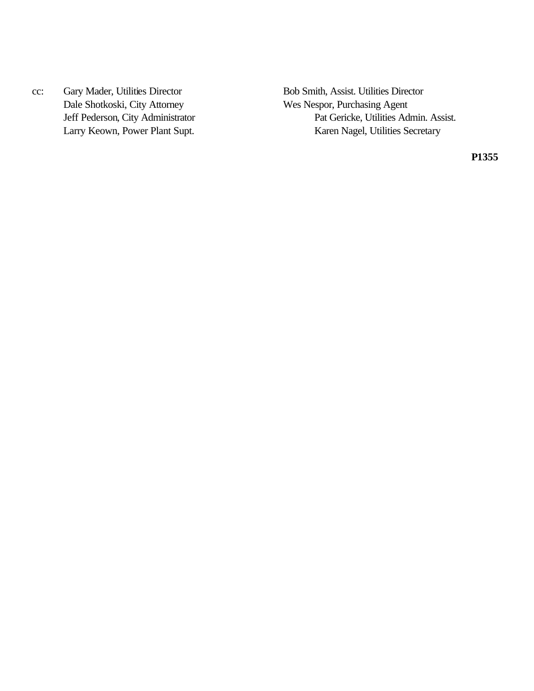cc: Gary Mader, Utilities Director Bob Smith, Assist. Utilities Director Dale Shotkoski, City Attorney Wes Nespor, Purchasing Agent

Pat Gericke, Utilities Admin. Assist. Larry Keown, Power Plant Supt. Karen Nagel, Utilities Secretary

**P1355**